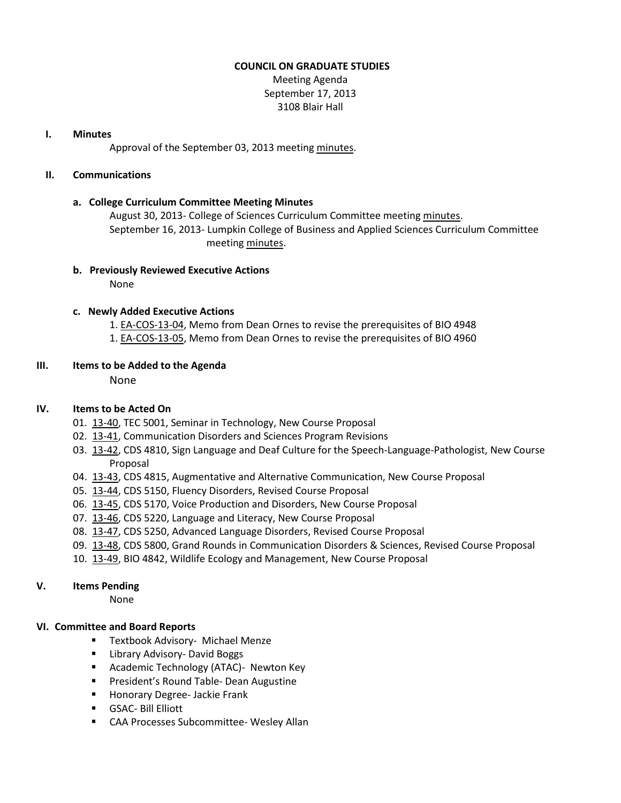#### **COUNCIL ON GRADUATE STUDIES**

Meeting Agenda September 17, 2013 3108 Blair Hall

### **I. Minutes**

Approval of the September 03, 2013 meeting [minutes.](http://castle.eiu.edu/eiucgs/currentminutes/Minutes09-03-13.pdf)

# **II. Communications**

# **a. College Curriculum Committee Meeting Minutes**

August 30, 2013- College of Sciences Curriculum Committee meeting [minutes.](http://castle.eiu.edu/~eiucgs/currentagendaitems/COSMin08-30-13.pdf) September 16, 2013- Lumpkin College of Business and Applied Sciences Curriculum Committee meeting [minutes.](http://castle.eiu.edu/~eiucgs/currentagendaitems/LCBASMin9-16-13.pdf)

#### **b. Previously Reviewed Executive Actions**

None

# **c. Newly Added Executive Actions**

- 1. [EA-COS-13-04,](http://castle.eiu.edu/~eiucgs/exec-actions/EA-COS-13-04.pdf) Memo from Dean Ornes to revise the prerequisites of BIO 4948
- 1. [EA-COS-13-05,](http://castle.eiu.edu/~eiucgs/exec-actions/EA-COS-13-05.pdf) Memo from Dean Ornes to revise the prerequisites of BIO 4960

#### **III. Items to be Added to the Agenda**

None

# **IV. Items to be Acted On**

- 01. [13-40,](http://castle.eiu.edu/~eiucgs/currentagendaitems/agenda13-40.pdf) TEC 5001, Seminar in Technology, New Course Proposal
- 02. [13-41,](http://castle.eiu.edu/~eiucgs/currentagendaitems/agenda13-41.pdf) Communication Disorders and Sciences Program Revisions
- 03. [13-42,](http://castle.eiu.edu/~eiucgs/currentagendaitems/agenda13-42.pdf) CDS 4810, Sign Language and Deaf Culture for the Speech-Language-Pathologist, New Course Proposal
- 04. [13-43,](http://castle.eiu.edu/~eiucgs/currentagendaitems/agenda13-43.pdf) CDS 4815, Augmentative and Alternative Communication, New Course Proposal
- 05. [13-44,](http://castle.eiu.edu/~eiucgs/currentagendaitems/agenda13-44.pdf) CDS 5150, Fluency Disorders, Revised Course Proposal
- 06. [13-45,](http://castle.eiu.edu/~eiucgs/currentagendaitems/agenda13-45.pdf) CDS 5170, Voice Production and Disorders, New Course Proposal
- 07. [13-46,](http://castle.eiu.edu/~eiucgs/currentagendaitems/agenda13-46.pdf) CDS 5220, Language and Literacy, New Course Proposal
- 08. [13-47,](http://castle.eiu.edu/~eiucgs/currentagendaitems/agenda13-47.pdf) CDS 5250, Advanced Language Disorders, Revised Course Proposal
- 09. [13-48,](http://castle.eiu.edu/~eiucgs/currentagendaitems/agenda13-48.pdf) CDS 5800, Grand Rounds in Communication Disorders & Sciences, Revised Course Proposal
- 10. [13-49,](http://castle.eiu.edu/~eiucgs/currentagendaitems/agenda13-49.pdf) BIO 4842, Wildlife Ecology and Management, New Course Proposal

# **V. Items Pending**

None

# **VI. Committee and Board Reports**

- **Textbook Advisory- Michael Menze**
- **E** Library Advisory- David Boggs
- **Academic Technology (ATAC)- Newton Key**
- **President's Round Table- Dean Augustine**
- **Honorary Degree- Jackie Frank**
- GSAC- Bill Elliott
- CAA Processes Subcommittee- Wesley Allan